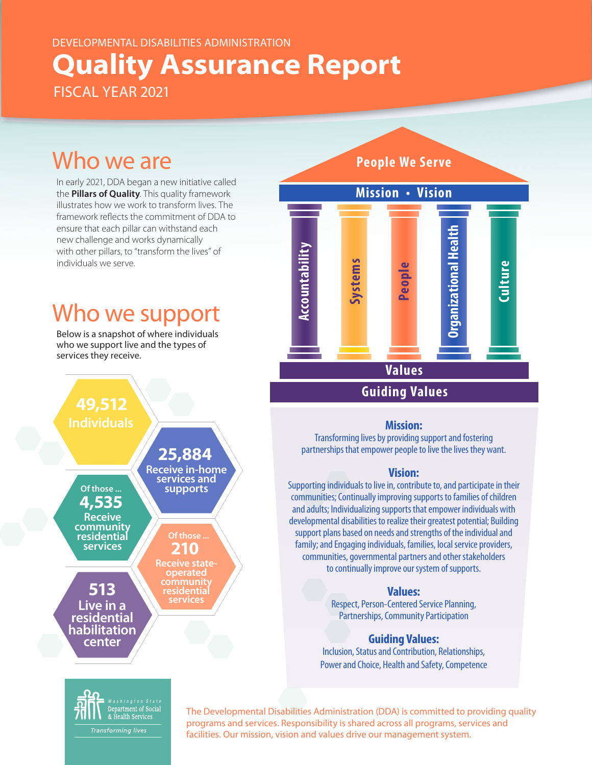## DEVELOPMENTAL DISABILITIES ADMINISTRATION **Quality Assurance Report** FISCAL YEAR 2021

# Who we are

In early 2021, DDA began a new initiative called the **Pillars of Quality**. This quality framework illustrates how we work to transform lives. The framework reflects the commitment of DDA to ensure that each pillar can withstand each new challenge and works dynamically with other pillars, to "transform the lives" of individuals we serve.

# Who we support

Below is a snapshot of where individuals who we support live and the types of services they receive.





#### **Mission:**

Transforming lives by providing support and fostering partnerships that empower people to live the lives they want.

#### **Vision:**

Supporting individuals to live in, contribute to, and participate in their communities; Continually improving supports to families of children and adults; Individualizing supports that empower individuals with developmental disabilities to realize their greatest potential; Building support plans based on needs and strengths of the individual and family; and Engaging individuals, families, local service providers, communities, governmental partners and other stakeholders to continually improve our system of supports.

**Values:** Respect, Person-Centered Service Planning, Partnerships, Community Participation

#### **Guiding Values:**

Inclusion, Status and Contribution, Relationships, Power and Choice, Health and Safety, Competence



The Developmental Disabilities Administration (DDA) is committed to providing quality programs and services. Responsibility is shared across all programs, services and facilities. Our mission, vision and values drive our management system.